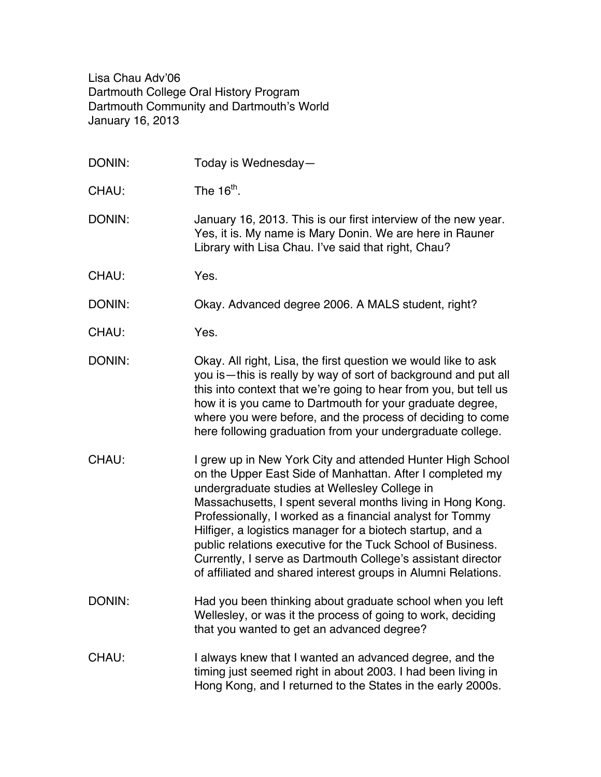Lisa Chau Adv'06 Dartmouth College Oral History Program Dartmouth Community and Dartmouth's World January 16, 2013

| DONIN: | Today is Wednesday-                                                                                                                                                                                                                                                                                                                                                                                                                                                                                                                                               |
|--------|-------------------------------------------------------------------------------------------------------------------------------------------------------------------------------------------------------------------------------------------------------------------------------------------------------------------------------------------------------------------------------------------------------------------------------------------------------------------------------------------------------------------------------------------------------------------|
| CHAU:  | The $16th$ .                                                                                                                                                                                                                                                                                                                                                                                                                                                                                                                                                      |
| DONIN: | January 16, 2013. This is our first interview of the new year.<br>Yes, it is. My name is Mary Donin. We are here in Rauner<br>Library with Lisa Chau. I've said that right, Chau?                                                                                                                                                                                                                                                                                                                                                                                 |
| CHAU:  | Yes.                                                                                                                                                                                                                                                                                                                                                                                                                                                                                                                                                              |
| DONIN: | Okay. Advanced degree 2006. A MALS student, right?                                                                                                                                                                                                                                                                                                                                                                                                                                                                                                                |
| CHAU:  | Yes.                                                                                                                                                                                                                                                                                                                                                                                                                                                                                                                                                              |
| DONIN: | Okay. All right, Lisa, the first question we would like to ask<br>you is-this is really by way of sort of background and put all<br>this into context that we're going to hear from you, but tell us<br>how it is you came to Dartmouth for your graduate degree,<br>where you were before, and the process of deciding to come<br>here following graduation from your undergraduate college.                                                                                                                                                                     |
| CHAU:  | I grew up in New York City and attended Hunter High School<br>on the Upper East Side of Manhattan. After I completed my<br>undergraduate studies at Wellesley College in<br>Massachusetts, I spent several months living in Hong Kong.<br>Professionally, I worked as a financial analyst for Tommy<br>Hilfiger, a logistics manager for a biotech startup, and a<br>public relations executive for the Tuck School of Business.<br>Currently, I serve as Dartmouth College's assistant director<br>of affiliated and shared interest groups in Alumni Relations. |
| DONIN: | Had you been thinking about graduate school when you left<br>Wellesley, or was it the process of going to work, deciding<br>that you wanted to get an advanced degree?                                                                                                                                                                                                                                                                                                                                                                                            |
| CHAU:  | I always knew that I wanted an advanced degree, and the<br>timing just seemed right in about 2003. I had been living in<br>Hong Kong, and I returned to the States in the early 2000s.                                                                                                                                                                                                                                                                                                                                                                            |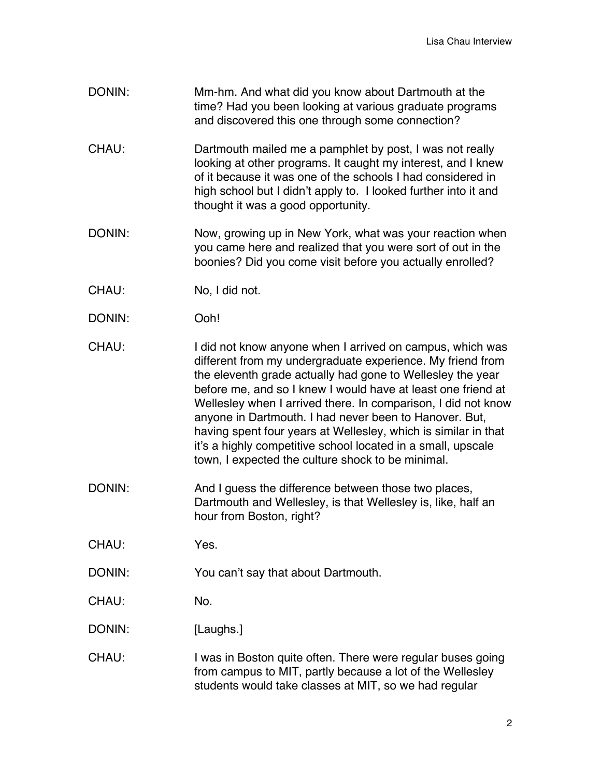- DONIN: Mm-hm. And what did you know about Dartmouth at the time? Had you been looking at various graduate programs and discovered this one through some connection?
- CHAU: Dartmouth mailed me a pamphlet by post, I was not really looking at other programs. It caught my interest, and I knew of it because it was one of the schools I had considered in high school but I didn't apply to. I looked further into it and thought it was a good opportunity.
- DONIN: Now, growing up in New York, what was your reaction when you came here and realized that you were sort of out in the boonies? Did you come visit before you actually enrolled?
- CHAU: No, I did not.
- DONIN: Ooh!
- CHAU: I did not know anyone when I arrived on campus, which was different from my undergraduate experience. My friend from the eleventh grade actually had gone to Wellesley the year before me, and so I knew I would have at least one friend at Wellesley when I arrived there. In comparison, I did not know anyone in Dartmouth. I had never been to Hanover. But, having spent four years at Wellesley, which is similar in that it's a highly competitive school located in a small, upscale town, I expected the culture shock to be minimal.
- DONIN: And I guess the difference between those two places, Dartmouth and Wellesley, is that Wellesley is, like, half an hour from Boston, right?
- CHAU: Yes.
- DONIN: You can't say that about Dartmouth.
- CHAU: No.
- DONIN: [Laughs.]
- CHAU: I was in Boston quite often. There were regular buses going from campus to MIT, partly because a lot of the Wellesley students would take classes at MIT, so we had regular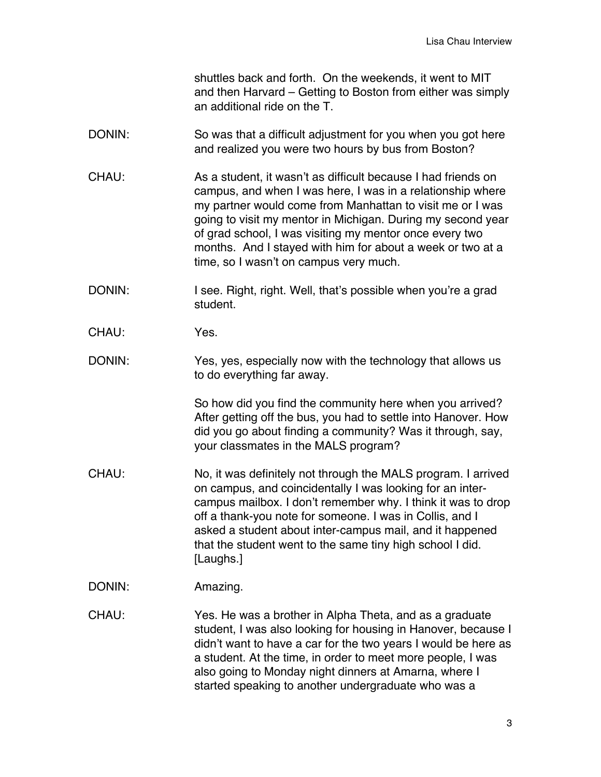shuttles back and forth. On the weekends, it went to MIT and then Harvard – Getting to Boston from either was simply an additional ride on the T.

- DONIN: So was that a difficult adjustment for you when you got here and realized you were two hours by bus from Boston?
- CHAU: As a student, it wasn't as difficult because I had friends on campus, and when I was here, I was in a relationship where my partner would come from Manhattan to visit me or I was going to visit my mentor in Michigan. During my second year of grad school, I was visiting my mentor once every two months. And I stayed with him for about a week or two at a time, so I wasn't on campus very much.
- DONIN: I see. Right, right. Well, that's possible when you're a grad student.
- CHAU: Yes.
- DONIN: Yes, yes, especially now with the technology that allows us to do everything far away.

So how did you find the community here when you arrived? After getting off the bus, you had to settle into Hanover. How did you go about finding a community? Was it through, say, your classmates in the MALS program?

- CHAU: No, it was definitely not through the MALS program. I arrived on campus, and coincidentally I was looking for an intercampus mailbox. I don't remember why. I think it was to drop off a thank-you note for someone. I was in Collis, and I asked a student about inter-campus mail, and it happened that the student went to the same tiny high school I did. [Laughs.]
- DONIN: Amazing.

CHAU: Yes. He was a brother in Alpha Theta, and as a graduate student, I was also looking for housing in Hanover, because I didn't want to have a car for the two years I would be here as a student. At the time, in order to meet more people, I was also going to Monday night dinners at Amarna, where I started speaking to another undergraduate who was a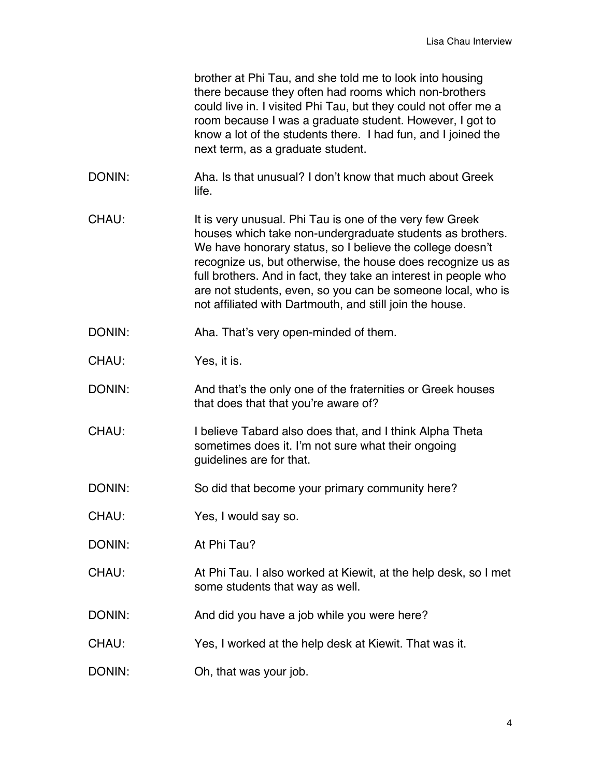| brother at Phi Tau, and she told me to look into housing        |
|-----------------------------------------------------------------|
| there because they often had rooms which non-brothers           |
| could live in. I visited Phi Tau, but they could not offer me a |
| room because I was a graduate student. However, I got to        |
| know a lot of the students there. I had fun, and I joined the   |
| next term, as a graduate student.                               |

- DONIN: Aha. Is that unusual? I don't know that much about Greek life.
- CHAU: It is very unusual. Phi Tau is one of the very few Greek houses which take non-undergraduate students as brothers. We have honorary status, so I believe the college doesn't recognize us, but otherwise, the house does recognize us as full brothers. And in fact, they take an interest in people who are not students, even, so you can be someone local, who is not affiliated with Dartmouth, and still join the house.
- DONIN: Aha. That's very open-minded of them.
- CHAU: Yes, it is.
- DONIN: And that's the only one of the fraternities or Greek houses that does that that you're aware of?
- CHAU: I believe Tabard also does that, and I think Alpha Theta sometimes does it. I'm not sure what their ongoing guidelines are for that.
- DONIN: So did that become your primary community here?
- CHAU: Yes, I would say so.
- DONIN: At Phi Tau?
- CHAU: At Phi Tau. I also worked at Kiewit, at the help desk, so I met some students that way as well.
- DONIN: And did you have a job while you were here?
- CHAU: Yes, I worked at the help desk at Kiewit. That was it.
- DONIN: Oh, that was your job.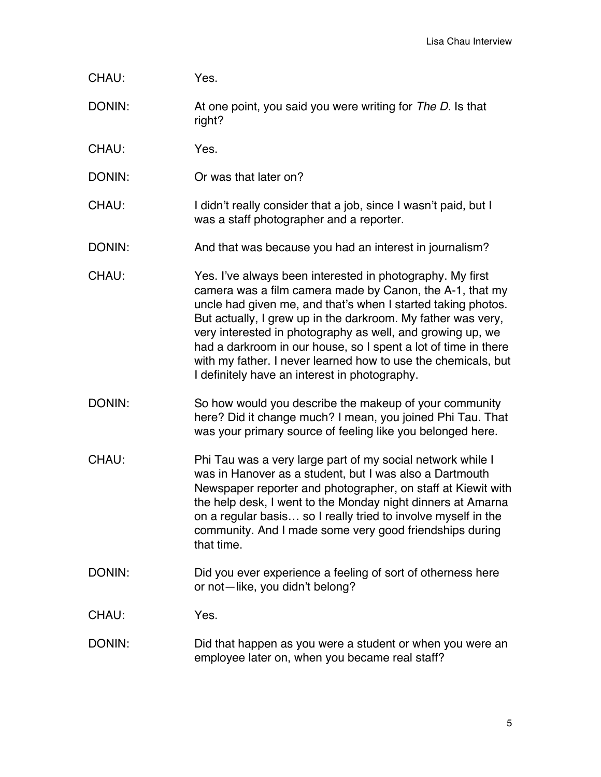| CHAU:  | Yes.                                                                                                                                                                                                                                                                                                                |
|--------|---------------------------------------------------------------------------------------------------------------------------------------------------------------------------------------------------------------------------------------------------------------------------------------------------------------------|
| DONIN: | At one point, you said you were writing for The D. Is that<br>right?                                                                                                                                                                                                                                                |
| CHAU:  | Yes.                                                                                                                                                                                                                                                                                                                |
| DONIN: | Or was that later on?                                                                                                                                                                                                                                                                                               |
| CHAU:  | I didn't really consider that a job, since I wasn't paid, but I<br>was a staff photographer and a reporter.                                                                                                                                                                                                         |
| DONIN: | And that was because you had an interest in journalism?                                                                                                                                                                                                                                                             |
| CHAU:  | Yes. I've always been interested in photography. My first<br>camera was a film camera made by Canon, the A-1, that my<br>uncle had given me, and that's when I started taking photos.<br>But actually, I grew up in the darkroom. My father was very,<br>very interested in photography as well, and growing up, we |

DONIN: So how would you describe the makeup of your community here? Did it change much? I mean, you joined Phi Tau. That was your primary source of feeling like you belonged here.

I definitely have an interest in photography.

had a darkroom in our house, so I spent a lot of time in there with my father. I never learned how to use the chemicals, but

- CHAU: Phi Tau was a very large part of my social network while I was in Hanover as a student, but I was also a Dartmouth Newspaper reporter and photographer, on staff at Kiewit with the help desk, I went to the Monday night dinners at Amarna on a regular basis… so I really tried to involve myself in the community. And I made some very good friendships during that time.
- DONIN: DONIN: Did you ever experience a feeling of sort of otherness here or not—like, you didn't belong?

CHAU: Yes.

DONIN: Did that happen as you were a student or when you were an employee later on, when you became real staff?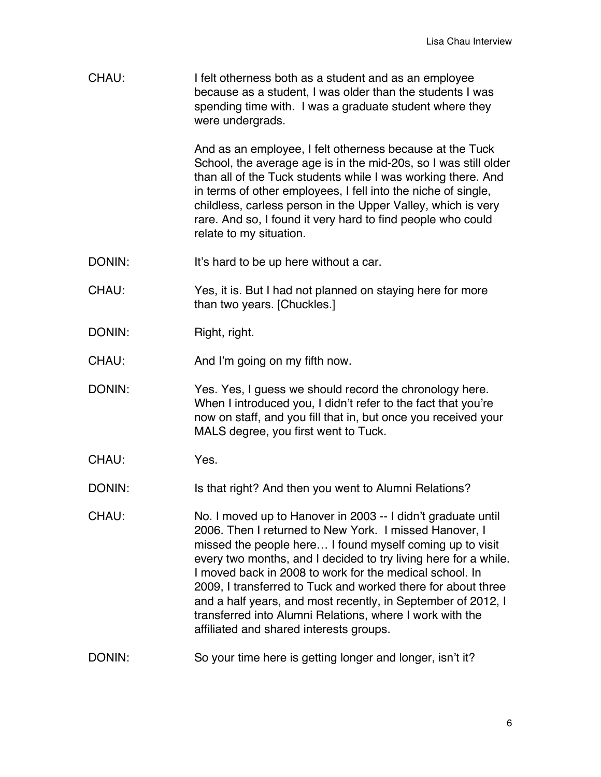| CHAU:  | I felt otherness both as a student and as an employee<br>because as a student, I was older than the students I was<br>spending time with. I was a graduate student where they<br>were undergrads.                                                                                                                                                                                                                                                                                                                                                       |
|--------|---------------------------------------------------------------------------------------------------------------------------------------------------------------------------------------------------------------------------------------------------------------------------------------------------------------------------------------------------------------------------------------------------------------------------------------------------------------------------------------------------------------------------------------------------------|
|        | And as an employee, I felt otherness because at the Tuck<br>School, the average age is in the mid-20s, so I was still older<br>than all of the Tuck students while I was working there. And<br>in terms of other employees, I fell into the niche of single,<br>childless, carless person in the Upper Valley, which is very<br>rare. And so, I found it very hard to find people who could<br>relate to my situation.                                                                                                                                  |
| DONIN: | It's hard to be up here without a car.                                                                                                                                                                                                                                                                                                                                                                                                                                                                                                                  |
| CHAU:  | Yes, it is. But I had not planned on staying here for more<br>than two years. [Chuckles.]                                                                                                                                                                                                                                                                                                                                                                                                                                                               |
| DONIN: | Right, right.                                                                                                                                                                                                                                                                                                                                                                                                                                                                                                                                           |
| CHAU:  | And I'm going on my fifth now.                                                                                                                                                                                                                                                                                                                                                                                                                                                                                                                          |
| DONIN: | Yes. Yes, I guess we should record the chronology here.<br>When I introduced you, I didn't refer to the fact that you're<br>now on staff, and you fill that in, but once you received your<br>MALS degree, you first went to Tuck.                                                                                                                                                                                                                                                                                                                      |
| CHAU:  | Yes.                                                                                                                                                                                                                                                                                                                                                                                                                                                                                                                                                    |
| DONIN: | Is that right? And then you went to Alumni Relations?                                                                                                                                                                                                                                                                                                                                                                                                                                                                                                   |
| CHAU:  | No. I moved up to Hanover in 2003 -- I didn't graduate until<br>2006. Then I returned to New York. I missed Hanover, I<br>missed the people here I found myself coming up to visit<br>every two months, and I decided to try living here for a while.<br>I moved back in 2008 to work for the medical school. In<br>2009, I transferred to Tuck and worked there for about three<br>and a half years, and most recently, in September of 2012, I<br>transferred into Alumni Relations, where I work with the<br>affiliated and shared interests groups. |
| DONIN: | So your time here is getting longer and longer, isn't it?                                                                                                                                                                                                                                                                                                                                                                                                                                                                                               |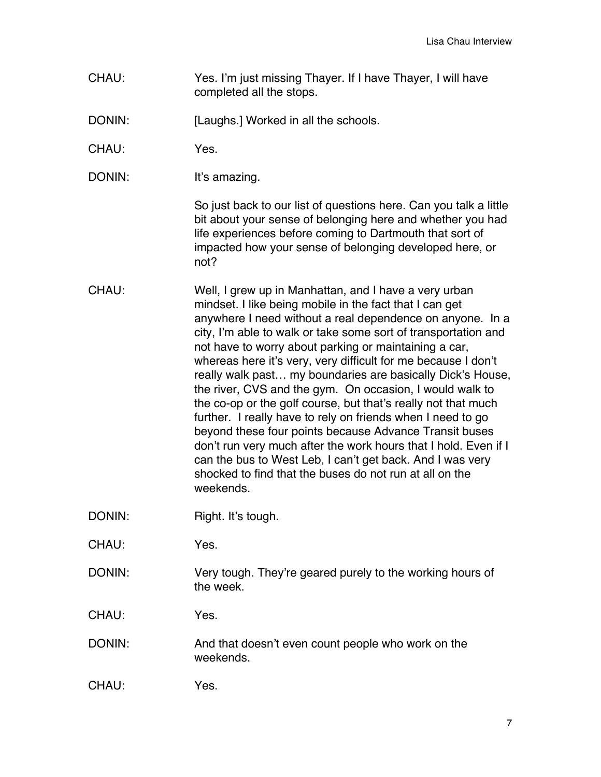- CHAU: Yes. I'm just missing Thayer. If I have Thayer, I will have completed all the stops.
- DONIN: [Laughs.] Worked in all the schools.
- CHAU: Yes.
- DONIN: It's amazing.

So just back to our list of questions here. Can you talk a little bit about your sense of belonging here and whether you had life experiences before coming to Dartmouth that sort of impacted how your sense of belonging developed here, or not?

- CHAU: Well, I grew up in Manhattan, and I have a very urban mindset. I like being mobile in the fact that I can get anywhere I need without a real dependence on anyone. In a city, I'm able to walk or take some sort of transportation and not have to worry about parking or maintaining a car, whereas here it's very, very difficult for me because I don't really walk past… my boundaries are basically Dick's House, the river, CVS and the gym. On occasion, I would walk to the co-op or the golf course, but that's really not that much further. I really have to rely on friends when I need to go beyond these four points because Advance Transit buses don't run very much after the work hours that I hold. Even if I can the bus to West Leb, I can't get back. And I was very shocked to find that the buses do not run at all on the weekends.
- DONIN: Right. It's tough.
- CHAU: Yes.
- DONIN: Very tough. They're geared purely to the working hours of the week.
- CHAU: Yes.
- DONIN: And that doesn't even count people who work on the weekends.
- CHAU: Yes.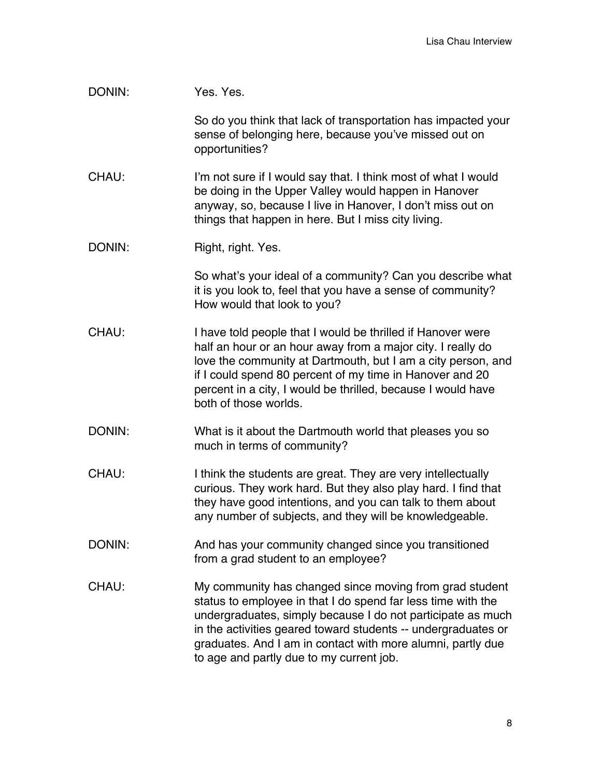| DONIN: | Yes. Yes.                                                                                                                                                                                                                                                                                                                                                          |
|--------|--------------------------------------------------------------------------------------------------------------------------------------------------------------------------------------------------------------------------------------------------------------------------------------------------------------------------------------------------------------------|
|        | So do you think that lack of transportation has impacted your<br>sense of belonging here, because you've missed out on<br>opportunities?                                                                                                                                                                                                                           |
| CHAU:  | I'm not sure if I would say that. I think most of what I would<br>be doing in the Upper Valley would happen in Hanover<br>anyway, so, because I live in Hanover, I don't miss out on<br>things that happen in here. But I miss city living.                                                                                                                        |
| DONIN: | Right, right. Yes.                                                                                                                                                                                                                                                                                                                                                 |
|        | So what's your ideal of a community? Can you describe what<br>it is you look to, feel that you have a sense of community?<br>How would that look to you?                                                                                                                                                                                                           |
| CHAU:  | I have told people that I would be thrilled if Hanover were<br>half an hour or an hour away from a major city. I really do<br>love the community at Dartmouth, but I am a city person, and<br>if I could spend 80 percent of my time in Hanover and 20<br>percent in a city, I would be thrilled, because I would have<br>both of those worlds.                    |
| DONIN: | What is it about the Dartmouth world that pleases you so<br>much in terms of community?                                                                                                                                                                                                                                                                            |
| CHAU:  | I think the students are great. They are very intellectually<br>curious. They work hard. But they also play hard. I find that<br>they have good intentions, and you can talk to them about<br>any number of subjects, and they will be knowledgeable.                                                                                                              |
| DONIN: | And has your community changed since you transitioned<br>from a grad student to an employee?                                                                                                                                                                                                                                                                       |
| CHAU:  | My community has changed since moving from grad student<br>status to employee in that I do spend far less time with the<br>undergraduates, simply because I do not participate as much<br>in the activities geared toward students -- undergraduates or<br>graduates. And I am in contact with more alumni, partly due<br>to age and partly due to my current job. |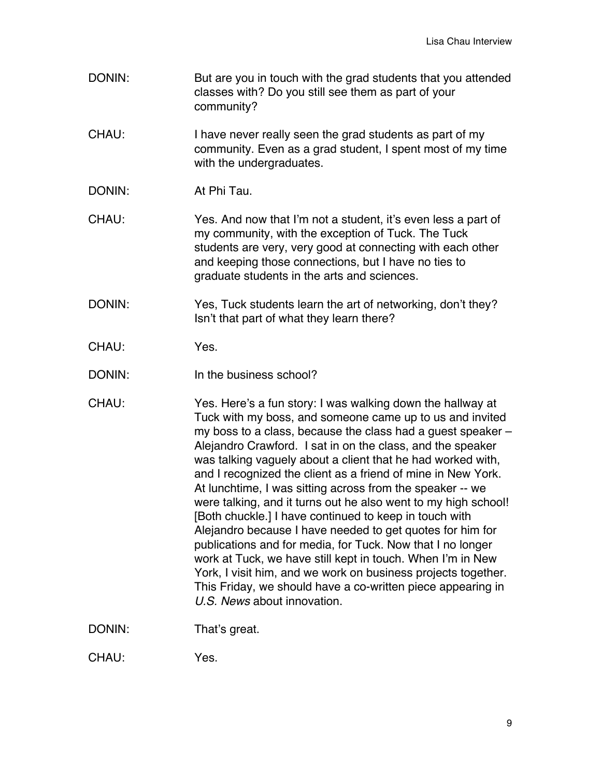- DONIN: But are you in touch with the grad students that you attended classes with? Do you still see them as part of your community?
- CHAU: I have never really seen the grad students as part of my community. Even as a grad student, I spent most of my time with the undergraduates.
- DONIN: At Phi Tau.
- CHAU: Yes. And now that I'm not a student, it's even less a part of my community, with the exception of Tuck. The Tuck students are very, very good at connecting with each other and keeping those connections, but I have no ties to graduate students in the arts and sciences.
- DONIN: Yes, Tuck students learn the art of networking, don't they? Isn't that part of what they learn there?
- CHAU: Yes.
- DONIN: In the business school?
- CHAU: Yes. Here's a fun story: I was walking down the hallway at Tuck with my boss, and someone came up to us and invited my boss to a class, because the class had a guest speaker – Alejandro Crawford. I sat in on the class, and the speaker was talking vaguely about a client that he had worked with, and I recognized the client as a friend of mine in New York. At lunchtime, I was sitting across from the speaker -- we were talking, and it turns out he also went to my high school! [Both chuckle.] I have continued to keep in touch with Alejandro because I have needed to get quotes for him for publications and for media, for Tuck. Now that I no longer work at Tuck, we have still kept in touch. When I'm in New York, I visit him, and we work on business projects together. This Friday, we should have a co-written piece appearing in *U.S. News* about innovation.

DONIN: That's great.

CHAU: Yes.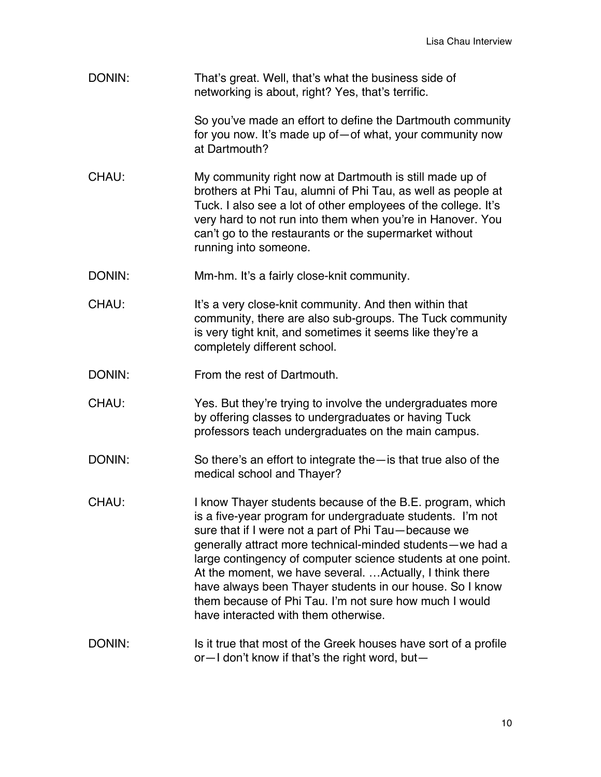| DONIN: | That's great. Well, that's what the business side of<br>networking is about, right? Yes, that's terrific.                                                                                                                                                                                                                                                                                                                                                                                                                              |
|--------|----------------------------------------------------------------------------------------------------------------------------------------------------------------------------------------------------------------------------------------------------------------------------------------------------------------------------------------------------------------------------------------------------------------------------------------------------------------------------------------------------------------------------------------|
|        | So you've made an effort to define the Dartmouth community<br>for you now. It's made up of - of what, your community now<br>at Dartmouth?                                                                                                                                                                                                                                                                                                                                                                                              |
| CHAU:  | My community right now at Dartmouth is still made up of<br>brothers at Phi Tau, alumni of Phi Tau, as well as people at<br>Tuck. I also see a lot of other employees of the college. It's<br>very hard to not run into them when you're in Hanover. You<br>can't go to the restaurants or the supermarket without<br>running into someone.                                                                                                                                                                                             |
| DONIN: | Mm-hm. It's a fairly close-knit community.                                                                                                                                                                                                                                                                                                                                                                                                                                                                                             |
| CHAU:  | It's a very close-knit community. And then within that<br>community, there are also sub-groups. The Tuck community<br>is very tight knit, and sometimes it seems like they're a<br>completely different school.                                                                                                                                                                                                                                                                                                                        |
| DONIN: | From the rest of Dartmouth.                                                                                                                                                                                                                                                                                                                                                                                                                                                                                                            |
| CHAU:  | Yes. But they're trying to involve the undergraduates more<br>by offering classes to undergraduates or having Tuck<br>professors teach undergraduates on the main campus.                                                                                                                                                                                                                                                                                                                                                              |
| DONIN: | So there's an effort to integrate the $-$ is that true also of the<br>medical school and Thayer?                                                                                                                                                                                                                                                                                                                                                                                                                                       |
| CHAU:  | I know Thayer students because of the B.E. program, which<br>is a five-year program for undergraduate students. I'm not<br>sure that if I were not a part of Phi Tau-because we<br>generally attract more technical-minded students-we had a<br>large contingency of computer science students at one point.<br>At the moment, we have several.  Actually, I think there<br>have always been Thayer students in our house. So I know<br>them because of Phi Tau. I'm not sure how much I would<br>have interacted with them otherwise. |
| DONIN: | Is it true that most of the Greek houses have sort of a profile<br>or-I don't know if that's the right word, but-                                                                                                                                                                                                                                                                                                                                                                                                                      |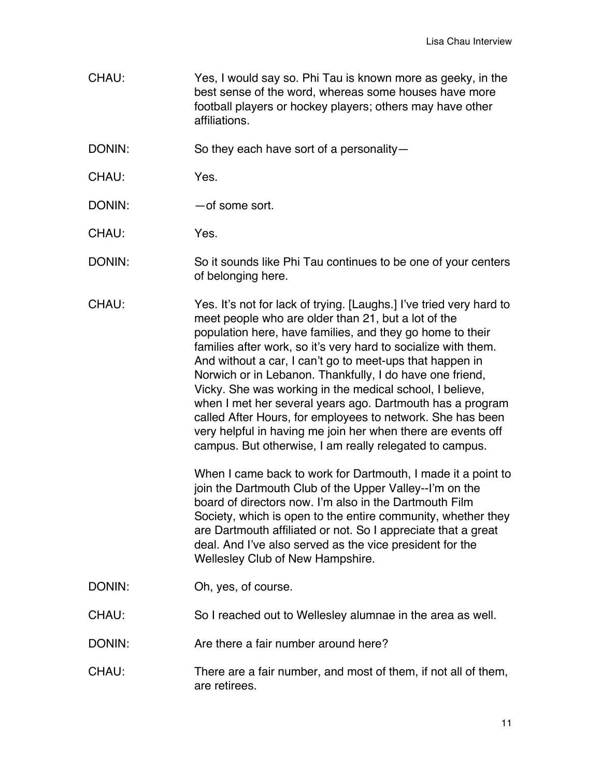CHAU: Yes, I would say so. Phi Tau is known more as geeky, in the best sense of the word, whereas some houses have more football players or hockey players; others may have other affiliations.

DONIN: So they each have sort of a personality-

- CHAU: Yes.
- DONIN: — of some sort.

CHAU: Yes.

- DONIN: So it sounds like Phi Tau continues to be one of your centers of belonging here.
- CHAU: Yes. It's not for lack of trying. [Laughs.] I've tried very hard to meet people who are older than 21, but a lot of the population here, have families, and they go home to their families after work, so it's very hard to socialize with them. And without a car, I can't go to meet-ups that happen in Norwich or in Lebanon. Thankfully, I do have one friend, Vicky. She was working in the medical school, I believe, when I met her several years ago. Dartmouth has a program called After Hours, for employees to network. She has been very helpful in having me join her when there are events off campus. But otherwise, I am really relegated to campus.

When I came back to work for Dartmouth, I made it a point to join the Dartmouth Club of the Upper Valley--I'm on the board of directors now. I'm also in the Dartmouth Film Society, which is open to the entire community, whether they are Dartmouth affiliated or not. So I appreciate that a great deal. And I've also served as the vice president for the Wellesley Club of New Hampshire.

- DONIN: Oh, yes, of course.
- CHAU: So I reached out to Wellesley alumnae in the area as well.
- DONIN: Are there a fair number around here?
- CHAU: There are a fair number, and most of them, if not all of them, are retirees.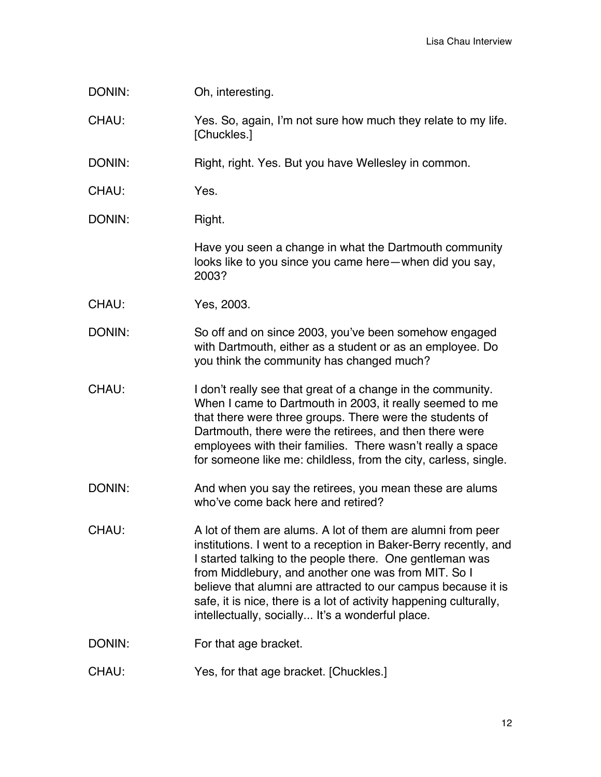DONIN: Oh, interesting.

CHAU: Yes. So, again, I'm not sure how much they relate to my life. [Chuckles.]

DONIN: Right, right. Yes. But you have Wellesley in common.

CHAU: Yes.

DONIN: Right.

Have you seen a change in what the Dartmouth community looks like to you since you came here—when did you say, 2003?

CHAU: Yes, 2003.

DONIN: So off and on since 2003, you've been somehow engaged with Dartmouth, either as a student or as an employee. Do you think the community has changed much?

- CHAU: I don't really see that great of a change in the community. When I came to Dartmouth in 2003, it really seemed to me that there were three groups. There were the students of Dartmouth, there were the retirees, and then there were employees with their families. There wasn't really a space for someone like me: childless, from the city, carless, single.
- DONIN: And when you say the retirees, you mean these are alums who've come back here and retired?

CHAU: A lot of them are alums. A lot of them are alumni from peer institutions. I went to a reception in Baker-Berry recently, and I started talking to the people there. One gentleman was from Middlebury, and another one was from MIT. So I believe that alumni are attracted to our campus because it is safe, it is nice, there is a lot of activity happening culturally, intellectually, socially... It's a wonderful place.

- DONIN: For that age bracket.
- CHAU: Yes, for that age bracket. [Chuckles.]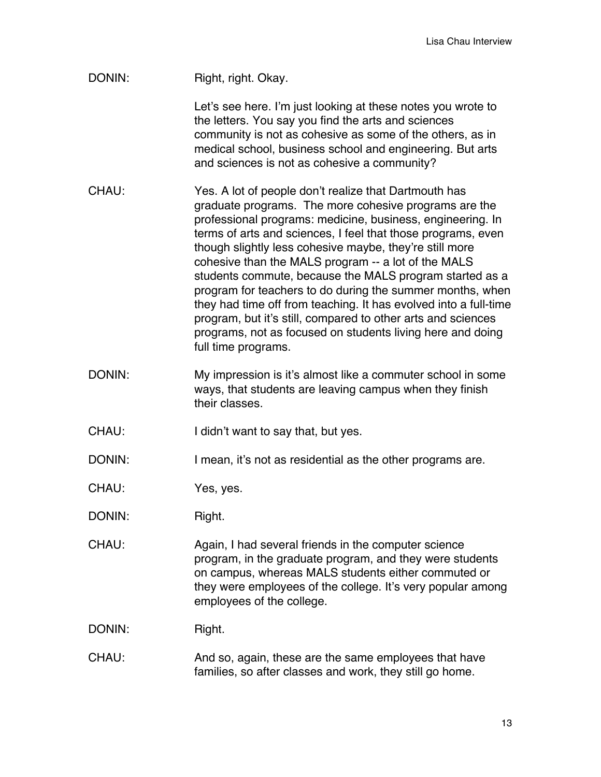| DONIN: | Right, right. Okay.                                                                                                                                                                                                                                                                                                                                                                                                                                                                                                                                                                                                                                                                                             |
|--------|-----------------------------------------------------------------------------------------------------------------------------------------------------------------------------------------------------------------------------------------------------------------------------------------------------------------------------------------------------------------------------------------------------------------------------------------------------------------------------------------------------------------------------------------------------------------------------------------------------------------------------------------------------------------------------------------------------------------|
|        | Let's see here. I'm just looking at these notes you wrote to<br>the letters. You say you find the arts and sciences<br>community is not as cohesive as some of the others, as in<br>medical school, business school and engineering. But arts<br>and sciences is not as cohesive a community?                                                                                                                                                                                                                                                                                                                                                                                                                   |
| CHAU:  | Yes. A lot of people don't realize that Dartmouth has<br>graduate programs. The more cohesive programs are the<br>professional programs: medicine, business, engineering. In<br>terms of arts and sciences, I feel that those programs, even<br>though slightly less cohesive maybe, they're still more<br>cohesive than the MALS program -- a lot of the MALS<br>students commute, because the MALS program started as a<br>program for teachers to do during the summer months, when<br>they had time off from teaching. It has evolved into a full-time<br>program, but it's still, compared to other arts and sciences<br>programs, not as focused on students living here and doing<br>full time programs. |
| DONIN: | My impression is it's almost like a commuter school in some<br>ways, that students are leaving campus when they finish<br>their classes.                                                                                                                                                                                                                                                                                                                                                                                                                                                                                                                                                                        |
| CHAU:  | I didn't want to say that, but yes.                                                                                                                                                                                                                                                                                                                                                                                                                                                                                                                                                                                                                                                                             |
| DONIN: | I mean, it's not as residential as the other programs are.                                                                                                                                                                                                                                                                                                                                                                                                                                                                                                                                                                                                                                                      |
| CHAU:  | Yes, yes.                                                                                                                                                                                                                                                                                                                                                                                                                                                                                                                                                                                                                                                                                                       |
| DONIN: | Right.                                                                                                                                                                                                                                                                                                                                                                                                                                                                                                                                                                                                                                                                                                          |
| CHAU:  | Again, I had several friends in the computer science<br>program, in the graduate program, and they were students<br>on campus, whereas MALS students either commuted or<br>they were employees of the college. It's very popular among<br>employees of the college.                                                                                                                                                                                                                                                                                                                                                                                                                                             |
| DONIN: | Right.                                                                                                                                                                                                                                                                                                                                                                                                                                                                                                                                                                                                                                                                                                          |
| CHAU:  | And so, again, these are the same employees that have<br>families, so after classes and work, they still go home.                                                                                                                                                                                                                                                                                                                                                                                                                                                                                                                                                                                               |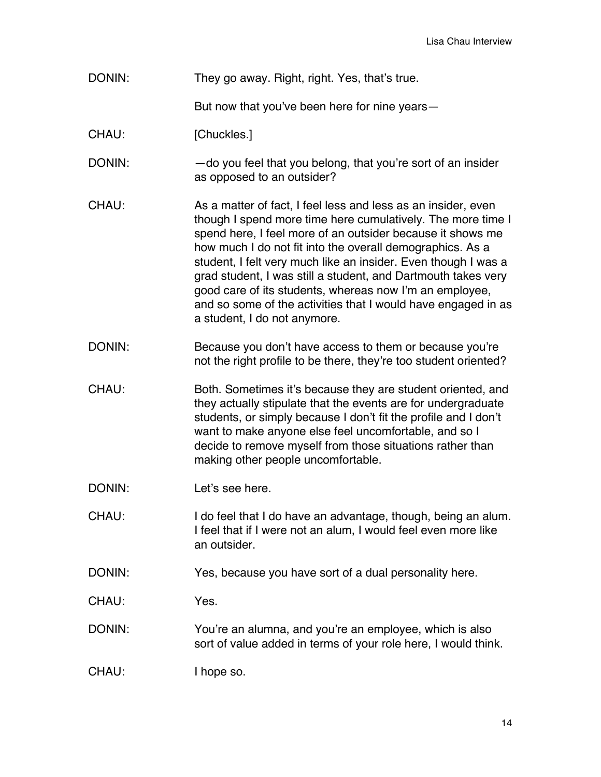## DONIN: They go away. Right, right. Yes, that's true.

But now that you've been here for nine years—

## CHAU: [Chuckles.]

DONIN: — — — — do you feel that you belong, that you're sort of an insider as opposed to an outsider?

- CHAU: As a matter of fact, I feel less and less as an insider, even though I spend more time here cumulatively. The more time I spend here, I feel more of an outsider because it shows me how much I do not fit into the overall demographics. As a student, I felt very much like an insider. Even though I was a grad student, I was still a student, and Dartmouth takes very good care of its students, whereas now I'm an employee, and so some of the activities that I would have engaged in as a student, I do not anymore.
- DONIN: Because you don't have access to them or because you're not the right profile to be there, they're too student oriented?
- CHAU: Both. Sometimes it's because they are student oriented, and they actually stipulate that the events are for undergraduate students, or simply because I don't fit the profile and I don't want to make anyone else feel uncomfortable, and so I decide to remove myself from those situations rather than making other people uncomfortable.
- DONIN: Let's see here.
- CHAU: I do feel that I do have an advantage, though, being an alum. I feel that if I were not an alum, I would feel even more like an outsider.
- DONIN: Yes, because you have sort of a dual personality here.
- CHAU: Yes.
- DONIN: You're an alumna, and you're an employee, which is also sort of value added in terms of your role here, I would think.
- CHAU: I hope so.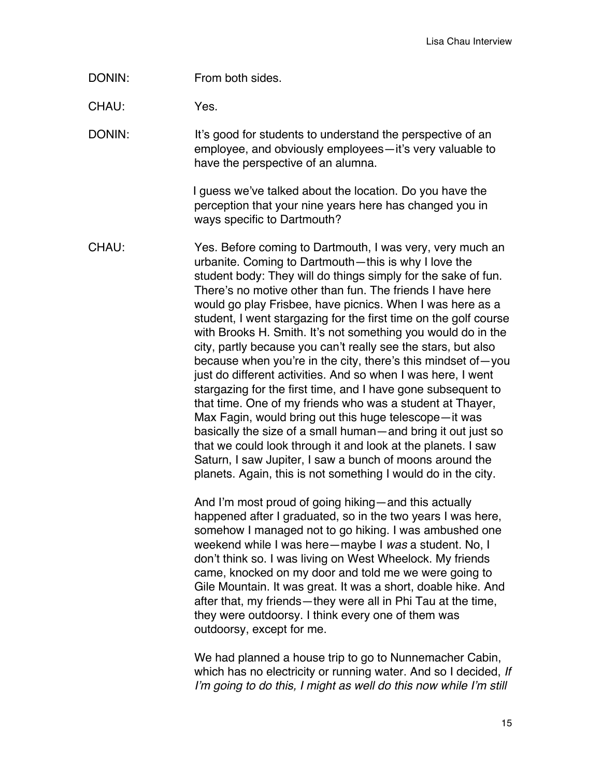DONIN: From both sides.

CHAU: Yes.

DONIN: It's good for students to understand the perspective of an employee, and obviously employees—it's very valuable to have the perspective of an alumna.

> I guess we've talked about the location. Do you have the perception that your nine years here has changed you in ways specific to Dartmouth?

CHAU: Yes. Before coming to Dartmouth, I was very, very much an urbanite. Coming to Dartmouth—this is why I love the student body: They will do things simply for the sake of fun. There's no motive other than fun. The friends I have here would go play Frisbee, have picnics. When I was here as a student, I went stargazing for the first time on the golf course with Brooks H. Smith. It's not something you would do in the city, partly because you can't really see the stars, but also because when you're in the city, there's this mindset of—you just do different activities. And so when I was here, I went stargazing for the first time, and I have gone subsequent to that time. One of my friends who was a student at Thayer, Max Fagin, would bring out this huge telescope—it was basically the size of a small human—and bring it out just so that we could look through it and look at the planets. I saw Saturn, I saw Jupiter, I saw a bunch of moons around the planets. Again, this is not something I would do in the city.

> And I'm most proud of going hiking—and this actually happened after I graduated, so in the two years I was here, somehow I managed not to go hiking. I was ambushed one weekend while I was here—maybe I *was* a student. No, I don't think so. I was living on West Wheelock. My friends came, knocked on my door and told me we were going to Gile Mountain. It was great. It was a short, doable hike. And after that, my friends—they were all in Phi Tau at the time, they were outdoorsy. I think every one of them was outdoorsy, except for me.

We had planned a house trip to go to Nunnemacher Cabin, which has no electricity or running water. And so I decided, *If I*'*m going to do this, I might as well do this now while I*'*m still*